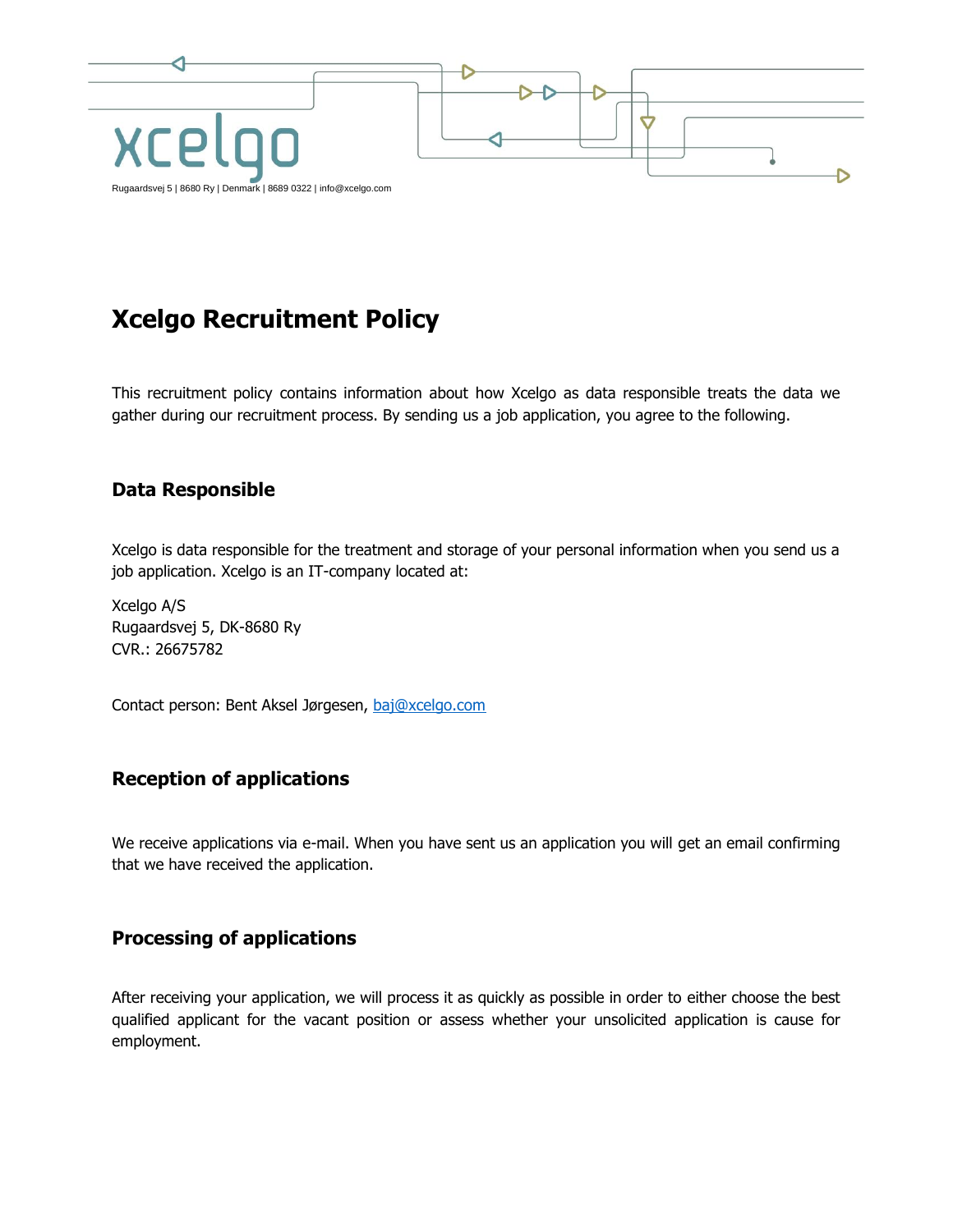

# **Xcelgo Recruitment Policy**

This recruitment policy contains information about how Xcelgo as data responsible treats the data we gather during our recruitment process. By sending us a job application, you agree to the following.

### **Data Responsible**

Xcelgo is data responsible for the treatment and storage of your personal information when you send us a job application. Xcelgo is an IT-company located at:

Xcelgo A/S Rugaardsvej 5, DK-8680 Ry CVR.: 26675782

Contact person: Bent Aksel Jørgesen, [baj@xcelgo.com](mailto:baj@xcelgo.com)

### **Reception of applications**

We receive applications via e-mail. When you have sent us an application you will get an email confirming that we have received the application.

### **Processing of applications**

After receiving your application, we will process it as quickly as possible in order to either choose the best qualified applicant for the vacant position or assess whether your unsolicited application is cause for employment.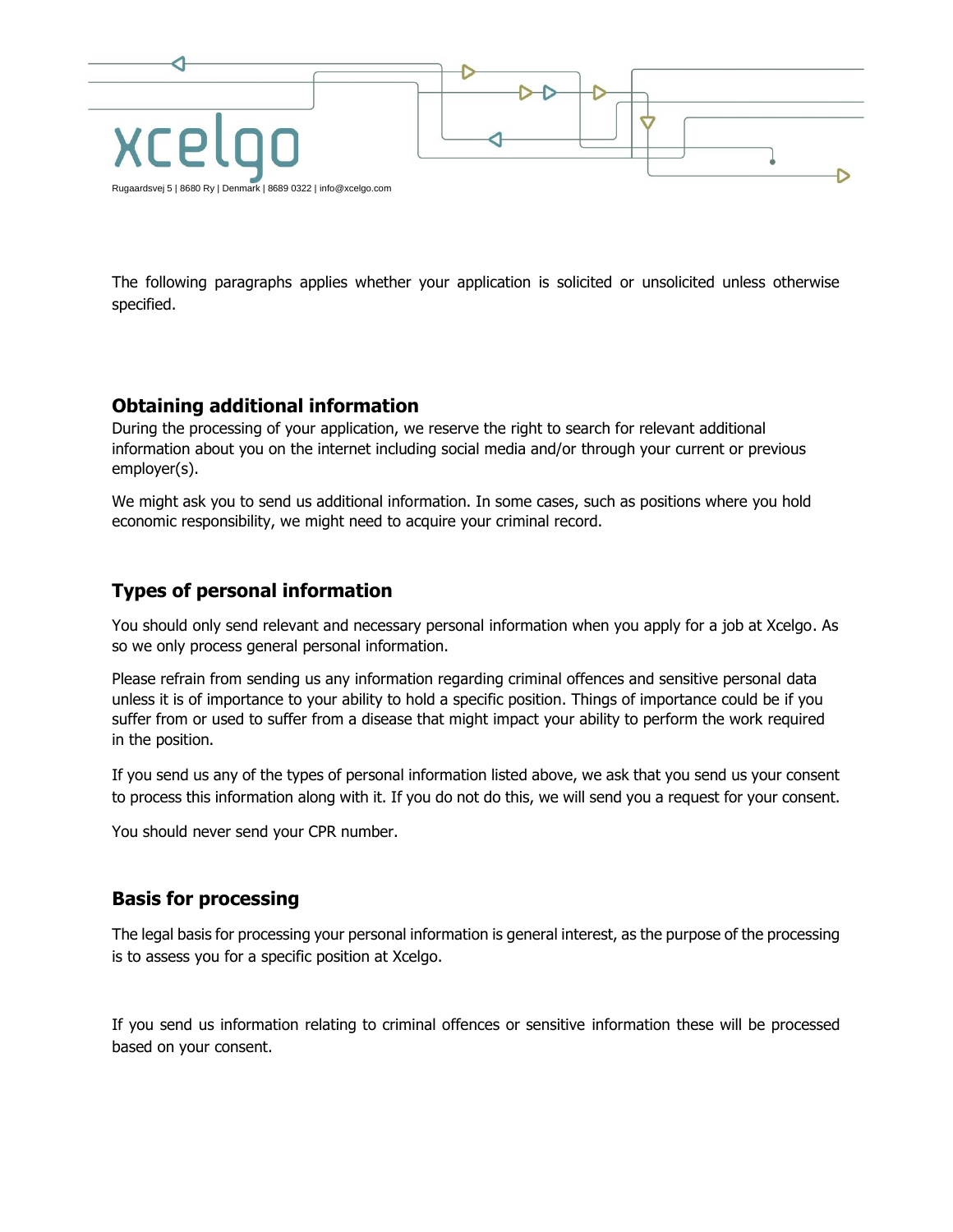

The following paragraphs applies whether your application is solicited or unsolicited unless otherwise specified.

### **Obtaining additional information**

During the processing of your application, we reserve the right to search for relevant additional information about you on the internet including social media and/or through your current or previous employer(s).

We might ask you to send us additional information. In some cases, such as positions where you hold economic responsibility, we might need to acquire your criminal record.

## **Types of personal information**

You should only send relevant and necessary personal information when you apply for a job at Xcelgo. As so we only process general personal information.

Please refrain from sending us any information regarding criminal offences and sensitive personal data unless it is of importance to your ability to hold a specific position. Things of importance could be if you suffer from or used to suffer from a disease that might impact your ability to perform the work required in the position.

If you send us any of the types of personal information listed above, we ask that you send us your consent to process this information along with it. If you do not do this, we will send you a request for your consent.

You should never send your CPR number.

## **Basis for processing**

The legal basis for processing your personal information is general interest, as the purpose of the processing is to assess you for a specific position at Xcelgo.

If you send us information relating to criminal offences or sensitive information these will be processed based on your consent.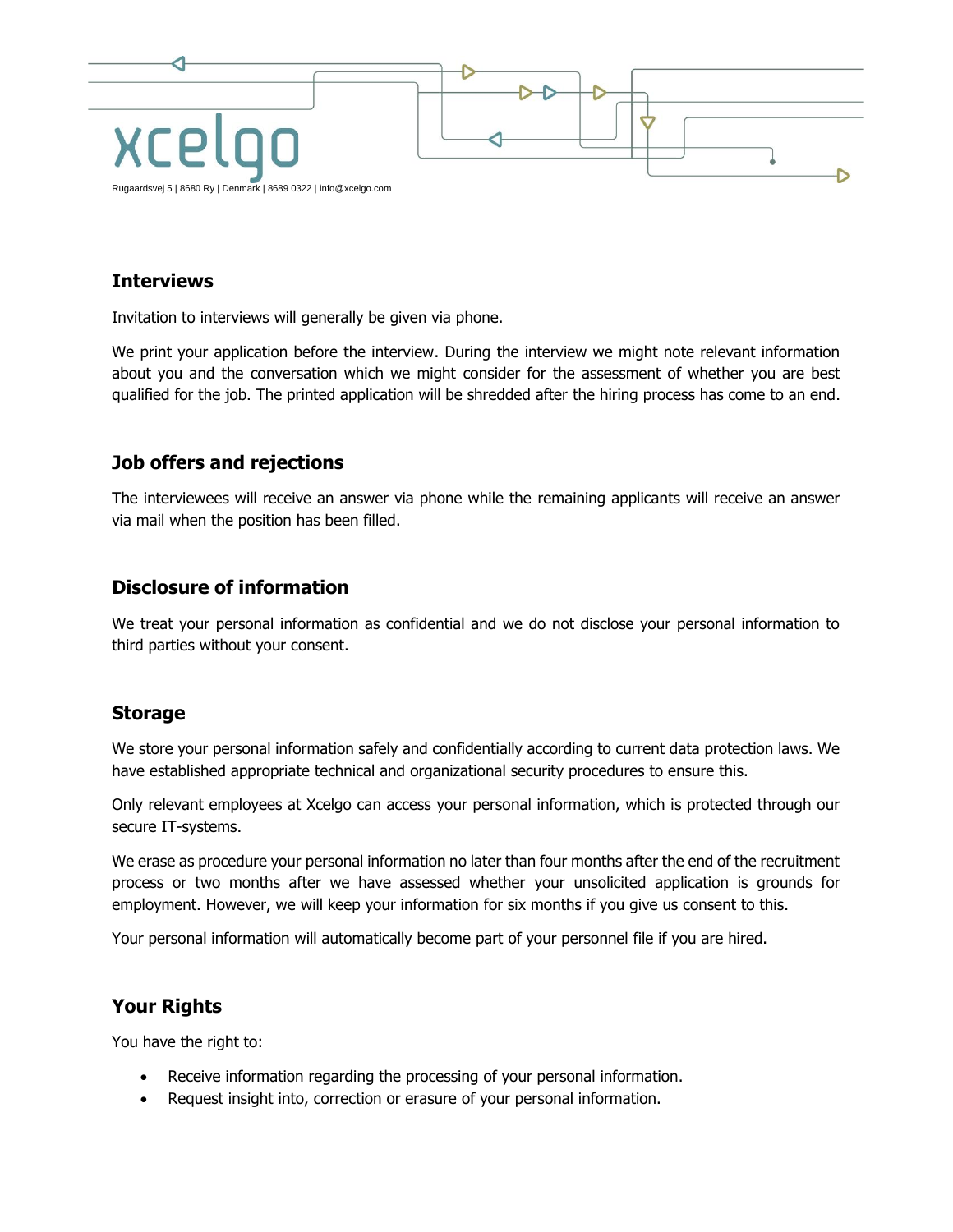

## **Interviews**

Invitation to interviews will generally be given via phone.

We print your application before the interview. During the interview we might note relevant information about you and the conversation which we might consider for the assessment of whether you are best qualified for the job. The printed application will be shredded after the hiring process has come to an end.

## **Job offers and rejections**

The interviewees will receive an answer via phone while the remaining applicants will receive an answer via mail when the position has been filled.

## **Disclosure of information**

We treat your personal information as confidential and we do not disclose your personal information to third parties without your consent.

#### **Storage**

We store your personal information safely and confidentially according to current data protection laws. We have established appropriate technical and organizational security procedures to ensure this.

Only relevant employees at Xcelgo can access your personal information, which is protected through our secure IT-systems.

We erase as procedure your personal information no later than four months after the end of the recruitment process or two months after we have assessed whether your unsolicited application is grounds for employment. However, we will keep your information for six months if you give us consent to this.

Your personal information will automatically become part of your personnel file if you are hired.

### **Your Rights**

You have the right to:

- Receive information regarding the processing of your personal information.
- Request insight into, correction or erasure of your personal information.